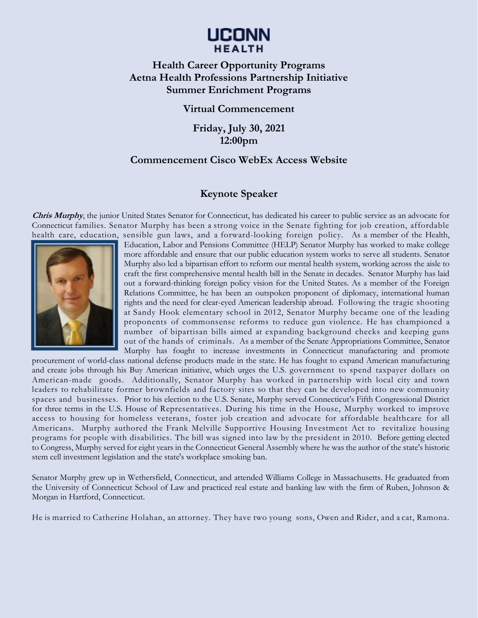# LICONN **HEALTH**

## **Health Career Opportunity Programs Aetna Health Professions Partnership Initiative Summer Enrichment Programs**

#### **Virtual Commencement**

**Friday, July 30, 2021 12:00pm** 

#### **Commencement Cisco WebEx Access Website**

### **Keynote Speaker**

**Chris Murphy**, the junior United States Senator for Connecticut, has dedicated his career to public service as an advocate for Connecticut families. Senator Murphy has been a strong voice in the Senate fighting for job creation, affordable health care, education, sensible gun laws, and a forward-looking foreign policy. As a member of the Health,



Education, Labor and Pensions Committee (HELP) Senator Murphy has worked to make college more affordable and ensure that our public education system works to serve all students. Senator Murphy also led a bipartisan effort to reform our mental health system, working across the aisle to craft the first comprehensive mental health bill in the Senate in decades. Senator Murphy has laid out a forward-thinking foreign policy vision for the United States. As a member of the Foreign Relations Committee, he has been an outspoken proponent of diplomacy, international human rights and the need for clear-eyed American leadership abroad. Following the tragic shooting at Sandy Hook elementary school in 2012, Senator Murphy became one of the leading proponents of commonsense reforms to reduce gun violence. He has championed a number of bipartisan bills aimed at expanding background checks and keeping guns out of the hands of criminals. As a member of the Senate Appropriations Committee, Senator Murphy has fought to increase investments in Connecticut manufacturing and promote

procurement of world-class national defense products made in the state. He has fought to expand American manufacturing and create jobs through his Buy American initiative, which urges the U.S. government to spend taxpayer dollars on American-made goods. Additionally, Senator Murphy has worked in partnership with local city and town leaders to rehabilitate former brownfields and factory sites so that they can be developed into new community spaces and businesses. Prior to his election to the U.S. Senate, Murphy served Connecticut's Fifth Congressional District for three terms in the U.S. House of Representatives. During his time in the House, Murphy worked to improve access to housing for homeless veterans, foster job creation and advocate for affordable healthcare for all Americans. Murphy authored the Frank Melville Supportive Housing Investment Act to revitalize housing programs for people with disabilities. The bill was signed into law by the president in 2010. Before getting elected to Congress, Murphy served for eight years in the Connecticut General Assembly where he was the author of the state's historic stem cell investment legislation and the state's workplace smoking ban.

Senator Murphy grew up in Wethersfield, Connecticut, and attended Williams College in Massachusetts. He graduated from the University of Connecticut School of Law and practiced real estate and banking law with the firm of Ruben, Johnson & Morgan in Hartford, Connecticut.

He is married to Catherine Holahan, an attorney. They have two young sons, Owen and Rider, and a cat, Ramona.